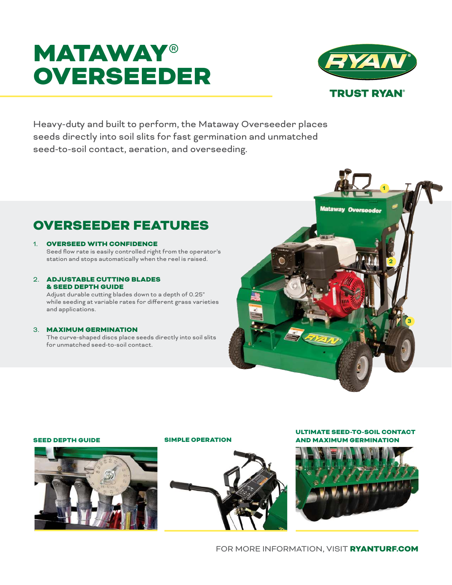# **MATAWAY®** OVERSEEDER



**1**

**Mataway Overseeder** 

**2**

**3**

Heavy-duty and built to perform, the Mataway Overseeder places seeds directly into soil slits for fast germination and unmatched seed-to-soil contact, aeration, and overseeding.

## OVERSEEDER FEATURES

#### 1. OVERSEED WITH CONFIDENCE

Seed flow rate is easily controlled right from the operator's station and stops automatically when the reel is raised.

#### 2. ADJUSTABLE CUTTING BLADES & SEED DEPTH GUIDE

Adjust durable cutting blades down to a depth of 0.25" while seeding at variable rates for different grass varieties and applications.

#### 3. MAXIMUM GERMINATION

The curve-shaped discs place seeds directly into soil slits for unmatched seed-to-soil contact.



#### SEED DEPTH GUIDE SIMPLE OPERATION



ULTIMATE SEED-TO-SOIL CONTACT AND MAXIMUM GERMINATION



FOR MORE INFORMATION, VISIT RYANTURF.COM